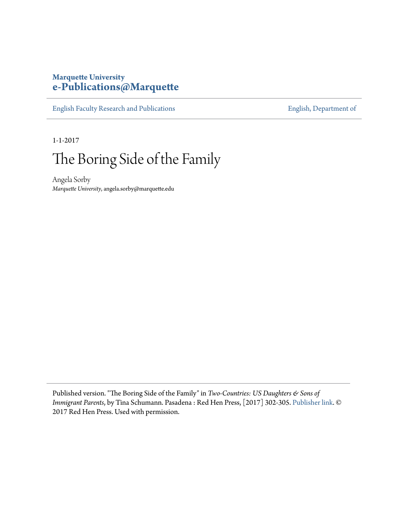### **Marquette University [e-Publications@Marquette](https://epublications.marquette.edu/)**

[English Faculty Research and Publications](https://epublications.marquette.edu/english_fac) **[English, Department of](https://epublications.marquette.edu/english)** 

1-1-2017

# The Boring Side of the Family

Angela Sorby *Marquette University*, angela.sorby@marquette.edu

Published version. "The Boring Side of the Family" in *Two-Countries: US Daughters & Sons of Immigrant Parents*, by Tina Schumann. Pasadena : Red Hen Press, [2017] 302-305. [Publisher link](https://redhen.org/book/?uuid=73840664-EA4C-0EAD-3FAC-787C7D0E7F55). © 2017 Red Hen Press. Used with permission.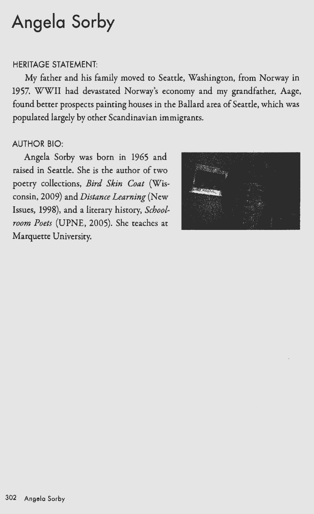## **Angela Sorby**

#### HERITAGE STATEMENT:

My father and his family moved to Seattle, Washington, from Norway in 1957. WWII had devastated Norway's economy and my grandfather, Aage, found better prospects painting houses in the Ballard area of Seattle, which was populated largely by other Scandinavian immigrants.

#### AUTHOR BIO:

Angela Sorby was born in 1965 and raised in Seattle. She is the author of two poetry collections, *Bird Skin Coat* (Wisconsin, 2009) and *Distance Learning* (New Issues, 1998), and a literary history, *Schoolroom Poets* (UPNE, 2005). She teaches at Marquette University.

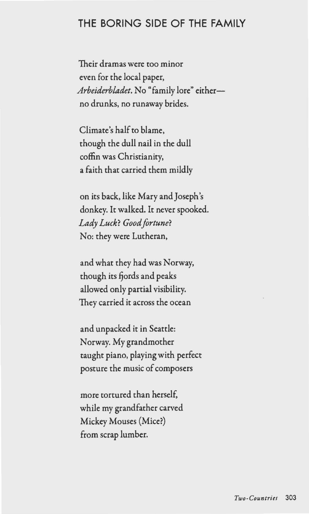### **THE BORING SIDE OF THE FAMILY**

Their dramas were too minor even for the local paper, *Arbeiderbladet*. No "family lore" eitherno drunks, no runaway brides.

Climate's half to blame, though the dull nail in the dull coffin was Christianity, a faith that carried them mildly

on its back, like Mary and Joseph's donkey. It walked. It never spooked. *Lady Luck? Good fortune?*  No: they were Lutheran,

and what they had was Norway, though its fjords and peaks allowed only partial visibility. They carried it across the ocean

and unpacked it in Seattle: Norway. My grandmother taught piano, playing with perfect posture the music of composers

more tortured than herself, while my grandfather carved Mickey Mouses (Mice?) from scrap lumber.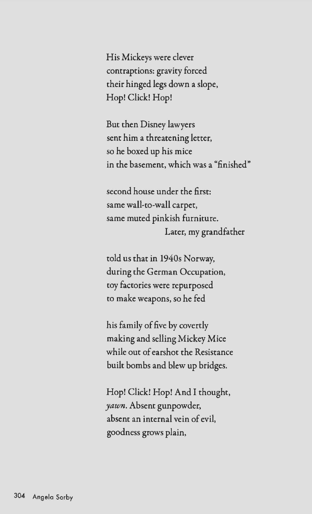His Mickeys were clever contraptions: gravity forced their hinged legs down a slope, Hop! Click! Hop!

But then Disney lawyers sent him a threatening letter, so he boxed up his mice in the basement, which was a "finished"

second house under the first: same wall-to-wall carpet, same muted pinkish furniture. Later, my grandfather

told us that in 1940s Norway, during the German Occupation, toy factories were repurposed to make weapons, so he fed

his family of five by covertly making and selling Mickey Mice while out of earshot the Resistance built bombs and blew up bridges.

Hop! Click! Hop! And I thought, *yawn.* Absent gunpowder, absent an internal vein of evil, goodness grows plain,